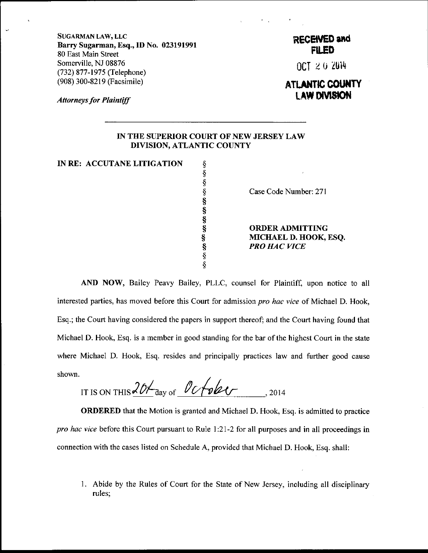SUGARMAN LAW, LLC Barry Sugarman, Esq.,ID No. O23l9l99l 80 East Main Street Somerville, NJ 08876 (732) 877 -1975 (Telephone) (908) 300-8219 (Facsimile)

Attorneys for Plaintiff

## RECENED and **Filed**

OCT z u ZUil+

## ATLANTIC COUNTY LAW DIVISION

## IN THE SUPERIOR COURT OF NEW JERSEY LAW DIVISION, ATLANTIC COUNTY

IN RE: ACCUTANE LITIGATION  $\S$ 

\$ \$ \$ \$ s \$ \$

Case Code Number: 271

**ORDER ADMITTING** MICHAEL D. HOOK, ESQ. **PRO HAC VICE** 

AND NOW, Bailey Peavy Bailey, PLLC, counsel for Plaintiff, upon notice to all interested parties, has moved before this Court for admission *pro hac vice* of Michael D. Hook, Esq.; the Court having considered the papers in support thereof; and the Court having found that Michael D. Hook, Esq. is a member in good standing for the bar of the highest Court in the state where Michael D. Hook, Esq. resides and principally practices law and further good cause shown.

IT IS ON THIS  $\frac{201}{\sigma}$  day of  $\frac{0 & \sigma}{\sigma}$   $\sigma$ 

ORDERED that the Motion is granted and Michael D. Hook, Esq. is admitted to practice pro hac vice before this Court pursuant to Rule 1:21-2 for all purposes and in all proceedings in connection with the cases listed on Schedule A, provided that Michael D. Hook, Esq. shall:

<sup>1</sup>. Abide by the Rules of Court for the State of New Jersey, including all disciplinary rules;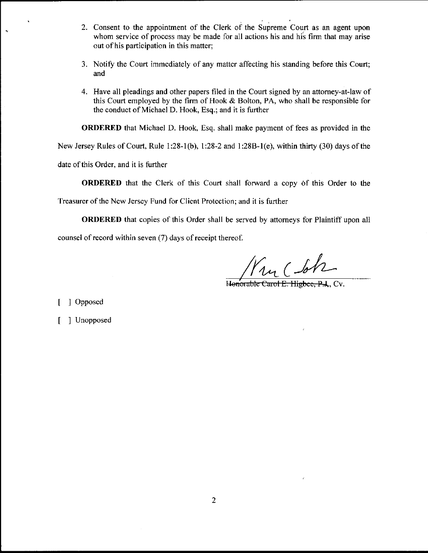- 2. Consent to the appointment of the Clerk of the Supreme Court as an agent upon whom service of process may be made for all actions his and his firm that may arise out of his participation in this matter;
- 3. Notify the Court immediately of any matter affecting his standing before this Court; and
- 4. Have all pleadings and other papers filed in the Court signed by an attorney-at-law of this Court employed by the firm of Hook  $&$  Bolton, PA, who shall be responsible for the conduct of Michael D. Hook, Esq.; and it is further

ORDERED that Michael D. Hook, Esq. shall make payment of fees as provided in the

New Jersey Rules of Court, Rule 1:28-1(b), l:28-2 and 1:28B-l(e), within thirty (30) days of the

date of this Order, and it is further

ORDERED that the Clerk of this Court shall forward a copy 6f this Order to the

Treasurer of the New Jersey Fund for Client Protection; and it is further

ORDERED that copies of this Order shall be served by aftomeys for Plaintiff upon all

counsel of record within seven (7) days of receipt thereof.

 $\mathcal{U}_1$  (-

Honorable Carol E. Higbee, P.J., Cv.

[ ] Opposed

[ ] Unopposed